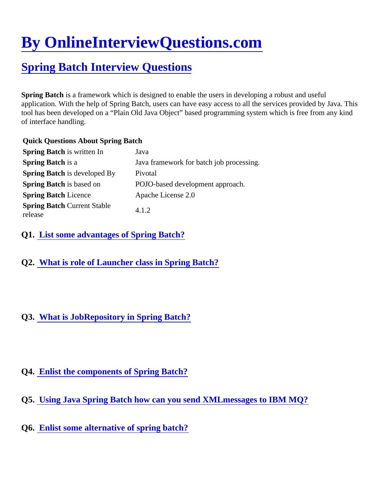## [By OnlineInterviewQuestions.com](https://www.onlineinterviewquestions.com/)

## [Spring Batch Interview Questions](https://www.onlineinterviewquestions.com/spring-batch-interview-questions/)

Spring Batch is a framework which is designed to enable the users in developing a robust and useful application. With the help of Spring Batch, users can have easy access to all the services provided by Java. T tool has been developed on a "Plain Old Java Object" based programming system which is free from any kind of interface handling.

Quick Questions About Spring Batch

| Spring Batch is written In                    | Java                                     |
|-----------------------------------------------|------------------------------------------|
| Spring Batch is a                             | Java framework for batch job processing. |
| Spring Batch is developed By                  | Pivotal                                  |
| Spring Batch is based on                      | POJO-based development approach.         |
| <b>Spring Batch Licence</b>                   | Apache License 2.0                       |
| <b>Spring Batch Current Stable</b><br>release | 4.1.2                                    |

Q1. [List some advantages of Spring Batch](https://www.onlineinterviewquestions.com/list-some-advantages-of-spring-batch/)?

Q2. [What is role of Launcher class in Spring Batch?](https://www.onlineinterviewquestions.com/what-is-role-of-launcher-class-in-spring-batch/)

## Q3. [What is JobRepository in Spring Batch?](https://www.onlineinterviewquestions.com/what-is-jobrepository-in-spring-batch/)

## Q4. [Enlist the components of Spring Batch](https://www.onlineinterviewquestions.com/enlist-the-components-of-spring-batch/)?

- Q5. [Using Java Spring Batch how can you send XMLmessages to IBM MQ](https://www.onlineinterviewquestions.com/using-java-spring-batch-how-can-you-send-xmlmessages-to-ibm-mq/)?
- Q6. [Enlist some alternative of spring batch?](https://www.onlineinterviewquestions.com/enlist-some-alternative-of-spring-batch/)